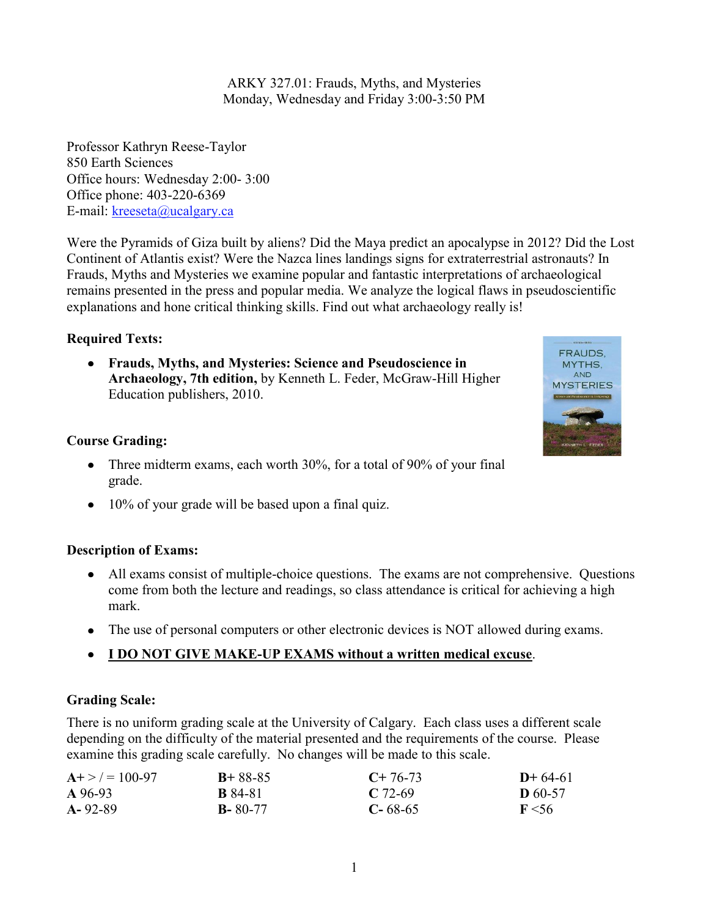ARKY 327.01: Frauds, Myths, and Mysteries Monday, Wednesday and Friday 3:00-3:50 PM

Professor Kathryn Reese-Taylor 850 Earth Sciences Office hours: Wednesday 2:00- 3:00 Office phone: 403-220-6369 E-mail: [kreeseta@ucalgary.ca](mailto:k_reesetaylor@yahoo.com)

Were the Pyramids of Giza built by aliens? Did the Maya predict an apocalypse in 2012? Did the Lost Continent of Atlantis exist? Were the Nazca lines landings signs for extraterrestrial astronauts? In Frauds, Myths and Mysteries we examine popular and fantastic interpretations of archaeological remains presented in the press and popular media. We analyze the logical flaws in pseudoscientific explanations and hone critical thinking skills. Find out what archaeology really is!

# **Required Texts:**

**Frauds, Myths, and Mysteries: Science and Pseudoscience in Archaeology, 7th edition,** by Kenneth L. Feder, McGraw-Hill Higher Education publishers, 2010.

# **Course Grading:**

- Three midterm exams, each worth 30%, for a total of 90% of your final grade.
- 10% of your grade will be based upon a final quiz.

## **Description of Exams:**

- All exams consist of multiple-choice questions. The exams are not comprehensive. Questions come from both the lecture and readings, so class attendance is critical for achieving a high mark.
- The use of personal computers or other electronic devices is NOT allowed during exams.
- **I DO NOT GIVE MAKE-UP EXAMS without a written medical excuse**.

# **Grading Scale:**

There is no uniform grading scale at the University of Calgary. Each class uses a different scale depending on the difficulty of the material presented and the requirements of the course. Please examine this grading scale carefully. No changes will be made to this scale.

| $A + > = 100-97$<br>A 96-93 | $B + 88 - 85$  | $C+76-73$     | $D+64-61$      |
|-----------------------------|----------------|---------------|----------------|
|                             | <b>B</b> 84-81 | $C$ 72-69     | <b>D</b> 60-57 |
| $A - 92 - 89$               | $B - 80 - 77$  | $C - 68 - 65$ | $F \le 56$     |

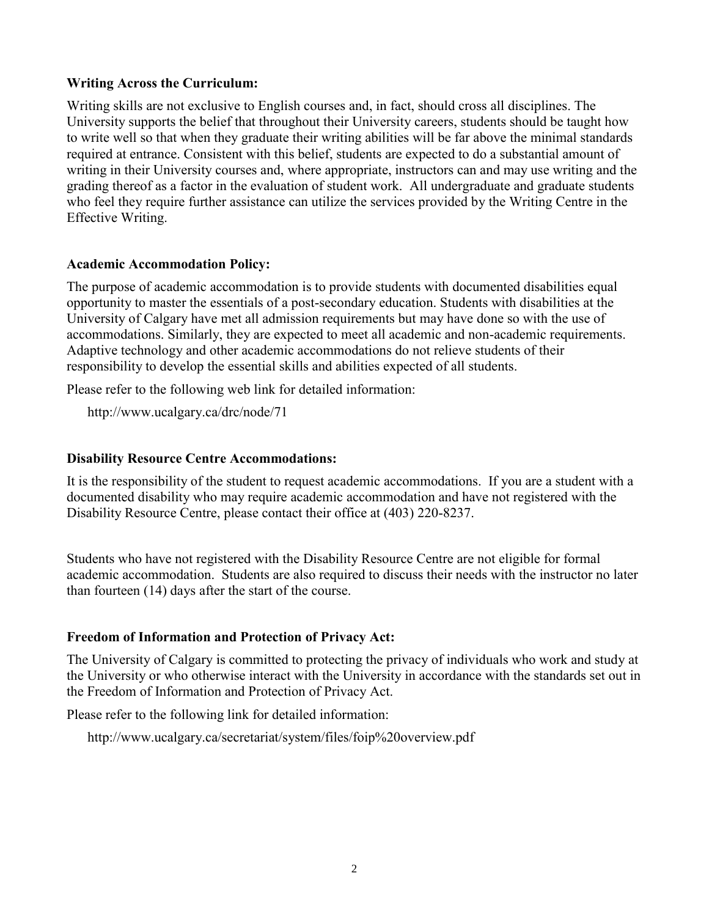### **Writing Across the Curriculum:**

Writing skills are not exclusive to English courses and, in fact, should cross all disciplines. The University supports the belief that throughout their University careers, students should be taught how to write well so that when they graduate their writing abilities will be far above the minimal standards required at entrance. Consistent with this belief, students are expected to do a substantial amount of writing in their University courses and, where appropriate, instructors can and may use writing and the grading thereof as a factor in the evaluation of student work. All undergraduate and graduate students who feel they require further assistance can utilize the services provided by the Writing Centre in the Effective Writing.

### **Academic Accommodation Policy:**

The purpose of academic accommodation is to provide students with documented disabilities equal opportunity to master the essentials of a post-secondary education. Students with disabilities at the University of Calgary have met all admission requirements but may have done so with the use of accommodations. Similarly, they are expected to meet all academic and non-academic requirements. Adaptive technology and other academic accommodations do not relieve students of their responsibility to develop the essential skills and abilities expected of all students.

Please refer to the following web link for detailed information:

http://www.ucalgary.ca/drc/node/71

### **Disability Resource Centre Accommodations:**

It is the responsibility of the student to request academic accommodations. If you are a student with a documented disability who may require academic accommodation and have not registered with the Disability Resource Centre, please contact their office at (403) 220-8237.

Students who have not registered with the Disability Resource Centre are not eligible for formal academic accommodation. Students are also required to discuss their needs with the instructor no later than fourteen (14) days after the start of the course.

## **Freedom of Information and Protection of Privacy Act:**

The University of Calgary is committed to protecting the privacy of individuals who work and study at the University or who otherwise interact with the University in accordance with the standards set out in the Freedom of Information and Protection of Privacy Act.

Please refer to the following link for detailed information:

http://www.ucalgary.ca/secretariat/system/files/foip%20overview.pdf